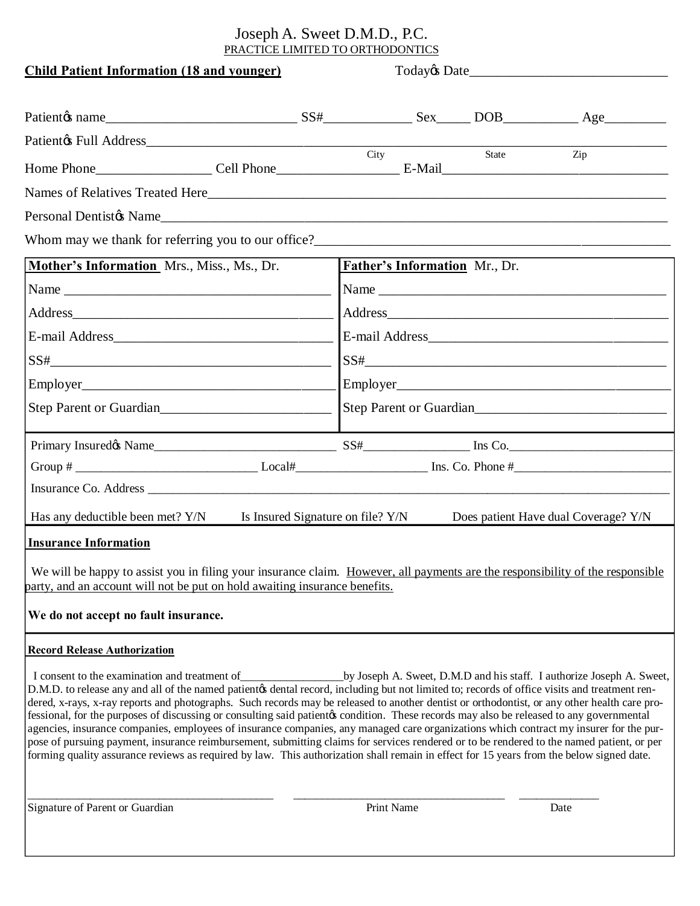## Joseph A. Sweet D.M.D., P.C. PRACTICE LIMITED TO ORTHODONTICS

| <b>Child Patient Information (18 and younger)</b>                                                                                                                                                                                                                                                                                                                                                                                                                                                                                                                                                                                                                                                                                                                                                                                                                                                                            |  | Today & Date       |                                                                                                                                                                                                                                |  |                                                                       |  |  |  |  |
|------------------------------------------------------------------------------------------------------------------------------------------------------------------------------------------------------------------------------------------------------------------------------------------------------------------------------------------------------------------------------------------------------------------------------------------------------------------------------------------------------------------------------------------------------------------------------------------------------------------------------------------------------------------------------------------------------------------------------------------------------------------------------------------------------------------------------------------------------------------------------------------------------------------------------|--|--------------------|--------------------------------------------------------------------------------------------------------------------------------------------------------------------------------------------------------------------------------|--|-----------------------------------------------------------------------|--|--|--|--|
| Patientos name Electron anne Electron Contact Contact Contact Contact Contact Contact Contact Contact Contact Contact Contact Contact Contact Contact Contact Contact Contact Contact Contact Contact Contact Contact Contact                                                                                                                                                                                                                                                                                                                                                                                                                                                                                                                                                                                                                                                                                                |  |                    |                                                                                                                                                                                                                                |  |                                                                       |  |  |  |  |
|                                                                                                                                                                                                                                                                                                                                                                                                                                                                                                                                                                                                                                                                                                                                                                                                                                                                                                                              |  |                    |                                                                                                                                                                                                                                |  |                                                                       |  |  |  |  |
| Patient & Full Address City State                                                                                                                                                                                                                                                                                                                                                                                                                                                                                                                                                                                                                                                                                                                                                                                                                                                                                            |  |                    |                                                                                                                                                                                                                                |  | Zip                                                                   |  |  |  |  |
|                                                                                                                                                                                                                                                                                                                                                                                                                                                                                                                                                                                                                                                                                                                                                                                                                                                                                                                              |  |                    |                                                                                                                                                                                                                                |  |                                                                       |  |  |  |  |
|                                                                                                                                                                                                                                                                                                                                                                                                                                                                                                                                                                                                                                                                                                                                                                                                                                                                                                                              |  |                    |                                                                                                                                                                                                                                |  |                                                                       |  |  |  |  |
|                                                                                                                                                                                                                                                                                                                                                                                                                                                                                                                                                                                                                                                                                                                                                                                                                                                                                                                              |  |                    |                                                                                                                                                                                                                                |  |                                                                       |  |  |  |  |
|                                                                                                                                                                                                                                                                                                                                                                                                                                                                                                                                                                                                                                                                                                                                                                                                                                                                                                                              |  |                    |                                                                                                                                                                                                                                |  |                                                                       |  |  |  |  |
| Mother's Information Mrs., Miss., Ms., Dr.                                                                                                                                                                                                                                                                                                                                                                                                                                                                                                                                                                                                                                                                                                                                                                                                                                                                                   |  |                    | <b>Father's Information</b> Mr., Dr.                                                                                                                                                                                           |  |                                                                       |  |  |  |  |
|                                                                                                                                                                                                                                                                                                                                                                                                                                                                                                                                                                                                                                                                                                                                                                                                                                                                                                                              |  |                    |                                                                                                                                                                                                                                |  |                                                                       |  |  |  |  |
|                                                                                                                                                                                                                                                                                                                                                                                                                                                                                                                                                                                                                                                                                                                                                                                                                                                                                                                              |  |                    | Address and the contract of the contract of the contract of the contract of the contract of the contract of the contract of the contract of the contract of the contract of the contract of the contract of the contract of th |  |                                                                       |  |  |  |  |
|                                                                                                                                                                                                                                                                                                                                                                                                                                                                                                                                                                                                                                                                                                                                                                                                                                                                                                                              |  |                    |                                                                                                                                                                                                                                |  |                                                                       |  |  |  |  |
|                                                                                                                                                                                                                                                                                                                                                                                                                                                                                                                                                                                                                                                                                                                                                                                                                                                                                                                              |  |                    | $SS# \_\_\_\_\_\_\_$                                                                                                                                                                                                           |  |                                                                       |  |  |  |  |
| Step Parent or Guardian<br>Step Parent or Guardian                                                                                                                                                                                                                                                                                                                                                                                                                                                                                                                                                                                                                                                                                                                                                                                                                                                                           |  |                    |                                                                                                                                                                                                                                |  |                                                                       |  |  |  |  |
|                                                                                                                                                                                                                                                                                                                                                                                                                                                                                                                                                                                                                                                                                                                                                                                                                                                                                                                              |  |                    |                                                                                                                                                                                                                                |  |                                                                       |  |  |  |  |
|                                                                                                                                                                                                                                                                                                                                                                                                                                                                                                                                                                                                                                                                                                                                                                                                                                                                                                                              |  |                    |                                                                                                                                                                                                                                |  |                                                                       |  |  |  |  |
|                                                                                                                                                                                                                                                                                                                                                                                                                                                                                                                                                                                                                                                                                                                                                                                                                                                                                                                              |  |                    |                                                                                                                                                                                                                                |  |                                                                       |  |  |  |  |
|                                                                                                                                                                                                                                                                                                                                                                                                                                                                                                                                                                                                                                                                                                                                                                                                                                                                                                                              |  |                    |                                                                                                                                                                                                                                |  |                                                                       |  |  |  |  |
| Has any deductible been met? Y/N Is Insured Signature on file? Y/N                                                                                                                                                                                                                                                                                                                                                                                                                                                                                                                                                                                                                                                                                                                                                                                                                                                           |  |                    |                                                                                                                                                                                                                                |  | Does patient Have dual Coverage? Y/N                                  |  |  |  |  |
| <b>Insurance Information</b>                                                                                                                                                                                                                                                                                                                                                                                                                                                                                                                                                                                                                                                                                                                                                                                                                                                                                                 |  |                    |                                                                                                                                                                                                                                |  |                                                                       |  |  |  |  |
| We will be happy to assist you in filing your insurance claim. However, all payments are the responsibility of the responsible<br>party, and an account will not be put on hold awaiting insurance benefits.<br>We do not accept no fault insurance.                                                                                                                                                                                                                                                                                                                                                                                                                                                                                                                                                                                                                                                                         |  |                    |                                                                                                                                                                                                                                |  |                                                                       |  |  |  |  |
| <b>Record Release Authorization</b>                                                                                                                                                                                                                                                                                                                                                                                                                                                                                                                                                                                                                                                                                                                                                                                                                                                                                          |  |                    |                                                                                                                                                                                                                                |  |                                                                       |  |  |  |  |
| I consent to the examination and treatment of<br>D.M.D. to release any and all of the named patientos dental record, including but not limited to; records of office visits and treatment ren-<br>dered, x-rays, x-ray reports and photographs. Such records may be released to another dentist or orthodontist, or any other health care pro-<br>fessional, for the purposes of discussing or consulting said patients condition. These records may also be released to any governmental<br>agencies, insurance companies, employees of insurance companies, any managed care organizations which contract my insurer for the pur-<br>pose of pursuing payment, insurance reimbursement, submitting claims for services rendered or to be rendered to the named patient, or per<br>forming quality assurance reviews as required by law. This authorization shall remain in effect for 15 years from the below signed date. |  |                    |                                                                                                                                                                                                                                |  | by Joseph A. Sweet, D.M.D and his staff. I authorize Joseph A. Sweet, |  |  |  |  |
| Signature of Parent or Guardian                                                                                                                                                                                                                                                                                                                                                                                                                                                                                                                                                                                                                                                                                                                                                                                                                                                                                              |  | Print Name<br>Date |                                                                                                                                                                                                                                |  |                                                                       |  |  |  |  |